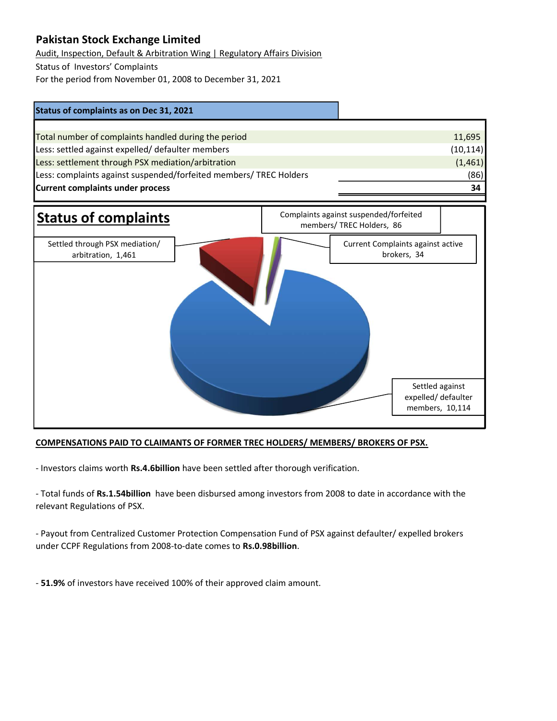## Pakistan Stock Exchange Limited

Audit, Inspection, Default & Arbitration Wing | Regulatory Affairs Division

Status of Investors' Complaints

For the period from November 01, 2008 to December 31, 2021





## COMPENSATIONS PAID TO CLAIMANTS OF FORMER TREC HOLDERS/ MEMBERS/ BROKERS OF PSX.

- Investors claims worth Rs.4.6billion have been settled after thorough verification.

- Total funds of Rs.1.54billion have been disbursed among investors from 2008 to date in accordance with the relevant Regulations of PSX.

- Payout from Centralized Customer Protection Compensation Fund of PSX against defaulter/ expelled brokers under CCPF Regulations from 2008-to-date comes to Rs.0.98billion.

- 51.9% of investors have received 100% of their approved claim amount.